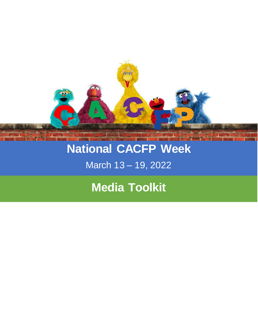

# **National CACFP Week**

## March 13 – 19, 2022

# **Media Toolkit**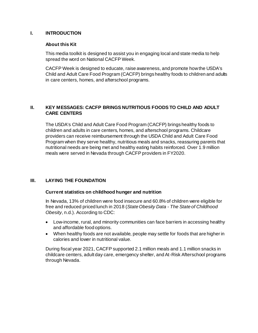#### **I. INTRODUCTION**

#### **About this Kit**

This media toolkit is designed to assist you in engaging local and state media to help spread the word on National CACFP Week.

CACFP Week is designed to educate, raise awareness, and promote how the USDA's Child and Adult Care Food Program (CACFP) brings healthy foods to children and adults in care centers, homes, and afterschool programs.

### **II. KEY MESSAGES: CACFP BRINGS NUTRITIOUS FOODS TO CHILD AND ADULT CARE CENTERS**

The USDA's Child and Adult Care Food Program (CACFP) brings healthy foods to children and adults in care centers, homes, and afterschool programs. Childcare providers can receive reimbursement through the USDA Child and Adult Care Food Program when they serve healthy, nutritious meals and snacks, reassuring parents that nutritional needs are being met and healthy eating habits reinforced. Over 1.9 million meals were served in Nevada through CACFP providers in FY2020.

#### **III. LAYING THE FOUNDATION**

#### **Current statistics on childhood hunger and nutrition**

In Nevada, 13% of children were food insecure and 60.8% of children were eligible for free and reduced priced lunch in 2018 (*State Obesity Data - The State of Childhood Obesity*, n.d.). According to CDC:

- Low-income, rural, and minority communities can face barriers in accessing healthy and affordable food options.
- When healthy foods are not available, people may settle for foods that are higher in calories and lower in nutritional value.

During fiscal year 2021, CACFP supported 2.1 million meals and 1.1 million snacks in childcare centers, adult day care, emergency shelter, and At-Risk Afterschool programs through Nevada.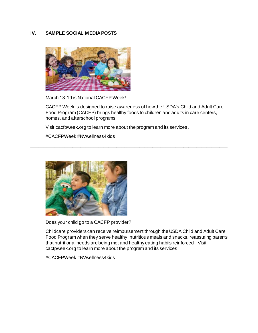### **IV. SAMPLE SOCIAL MEDIA POSTS**



March 13-19 is National CACFP Week!

CACFP Week is designed to raise awareness of how the USDA's Child and Adult Care Food Program (CACFP) brings healthy foods to children and adults in care centers, homes, and afterschool programs.

\_\_\_\_\_\_\_\_\_\_\_\_\_\_\_\_\_\_\_\_\_\_\_\_\_\_\_\_\_\_\_\_\_\_\_\_\_\_\_\_\_\_\_\_\_\_\_\_\_\_\_\_\_\_\_\_\_\_\_\_\_\_\_\_\_\_\_\_\_\_\_\_\_\_\_\_

Visit cacfpweek.org to learn more about the program and its services.

#CACFPWeek #NVwellness4kids



Does your child go to a CACFP provider?

Childcare providers can receive reimbursement through the USDA Child and Adult Care Food Program when they serve healthy, nutritious meals and snacks, reassuring parents that nutritional needs are being met and healthy eating habits reinforced. Visit cacfpweek.org to learn more about the program and its services.

\_\_\_\_\_\_\_\_\_\_\_\_\_\_\_\_\_\_\_\_\_\_\_\_\_\_\_\_\_\_\_\_\_\_\_\_\_\_\_\_\_\_\_\_\_\_\_\_\_\_\_\_\_\_\_\_\_\_\_\_\_\_\_\_\_\_\_\_\_\_\_\_\_\_\_\_

#CACFPWeek #NVwellness4kids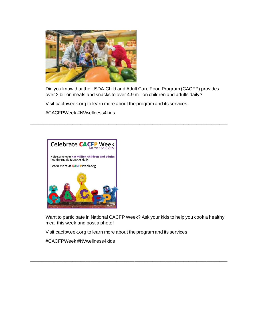

Did you know that the USDA Child and Adult Care Food Program (CACFP) provides over 2 billion meals and snacks to over 4.9 million children and adults daily?

\_\_\_\_\_\_\_\_\_\_\_\_\_\_\_\_\_\_\_\_\_\_\_\_\_\_\_\_\_\_\_\_\_\_\_\_\_\_\_\_\_\_\_\_\_\_\_\_\_\_\_\_\_\_\_\_\_\_\_\_\_\_\_\_\_\_\_\_\_\_\_\_\_\_\_\_

Visit cacfpweek.org to learn more about the program and its services.

#CACFPWeek #NVwellness4kids



Want to participate in National CACFP Week? Ask your kids to help you cook a healthy meal this week and post a photo!

\_\_\_\_\_\_\_\_\_\_\_\_\_\_\_\_\_\_\_\_\_\_\_\_\_\_\_\_\_\_\_\_\_\_\_\_\_\_\_\_\_\_\_\_\_\_\_\_\_\_\_\_\_\_\_\_\_\_\_\_\_\_\_\_\_\_\_\_\_\_\_\_\_\_\_\_

Visit cacfpweek.org to learn more about the program and its services

#CACFPWeek #NVwellness4kids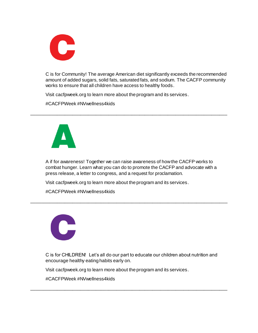

C is for Community! The average American diet significantly exceeds the recommended amount of added sugars, solid fats, saturated fats, and sodium. The CACFP community works to ensure that all children have access to healthy foods.

Visit cacfpweek.org to learn more about the program and its services.

#CACFPWeek #NVwellness4kids



A if for awareness! Together we can raise awareness of how the CACFP works to combat hunger. Learn what you can do to promote the CACFP and advocate with a press release, a letter to congress, and a request for proclamation.

\_\_\_\_\_\_\_\_\_\_\_\_\_\_\_\_\_\_\_\_\_\_\_\_\_\_\_\_\_\_\_\_\_\_\_\_\_\_\_\_\_\_\_\_\_\_\_\_\_\_\_\_\_\_\_\_\_\_\_\_\_\_\_\_\_\_\_\_\_\_\_\_\_\_\_\_

\_\_\_\_\_\_\_\_\_\_\_\_\_\_\_\_\_\_\_\_\_\_\_\_\_\_\_\_\_\_\_\_\_\_\_\_\_\_\_\_\_\_\_\_\_\_\_\_\_\_\_\_\_\_\_\_\_\_\_\_\_\_\_\_\_\_\_\_\_\_\_\_\_\_\_\_

Visit cacfpweek.org to learn more about the program and its services.

#CACFPWeek #NVwellness4kids



C is for CHILDREN! Let's all do our part to educate our children about nutrition and encourage healthy eating habits early on.

\_\_\_\_\_\_\_\_\_\_\_\_\_\_\_\_\_\_\_\_\_\_\_\_\_\_\_\_\_\_\_\_\_\_\_\_\_\_\_\_\_\_\_\_\_\_\_\_\_\_\_\_\_\_\_\_\_\_\_\_\_\_\_\_\_\_\_\_\_\_\_\_\_\_\_\_

Visit cacfpweek.org to learn more about the program and its services.

#CACFPWeek #NVwellness4kids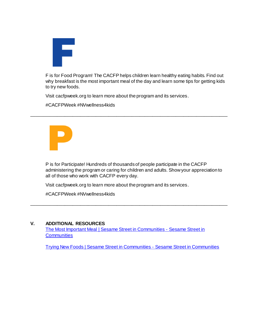

F is for Food Program! The CACFP helps children learn healthy eating habits. Find out why breakfast is the most important meal of the day and learn some tips for getting kids to try new foods.

\_\_\_\_\_\_\_\_\_\_\_\_\_\_\_\_\_\_\_\_\_\_\_\_\_\_\_\_\_\_\_\_\_\_\_\_\_\_\_\_\_\_\_\_\_\_\_\_\_\_\_\_\_\_\_\_\_\_\_\_\_\_\_\_\_\_\_\_\_\_\_\_\_\_\_\_

Visit cacfpweek.org to learn more about the program and its services.

#CACFPWeek #NVwellness4kids



P is for Participate! Hundreds of thousands of people participate in the CACFP administering the program or caring for children and adults. Show your appreciation to all of those who work with CACFP every day.

Visit cacfpweek.org to learn more about the program and its services.

#CACFPWeek #NVwellness4kids

#### **V. ADDITIONAL RESOURCES**

[The Most Important Meal | Sesame Street in Communities -](https://sesamestreetincommunities.org/activities/the-most-important-meal/) Sesame Street in **[Communities](https://sesamestreetincommunities.org/activities/the-most-important-meal/)** 

\_\_\_\_\_\_\_\_\_\_\_\_\_\_\_\_\_\_\_\_\_\_\_\_\_\_\_\_\_\_\_\_\_\_\_\_\_\_\_\_\_\_\_\_\_\_\_\_\_\_\_\_\_\_\_\_\_\_\_\_\_\_\_\_\_\_\_\_\_\_\_\_\_\_\_\_

[Trying New Foods | Sesame Street in Communities -](https://sesamestreetincommunities.org/activities/trying-new-foods/) Sesame Street in Communities